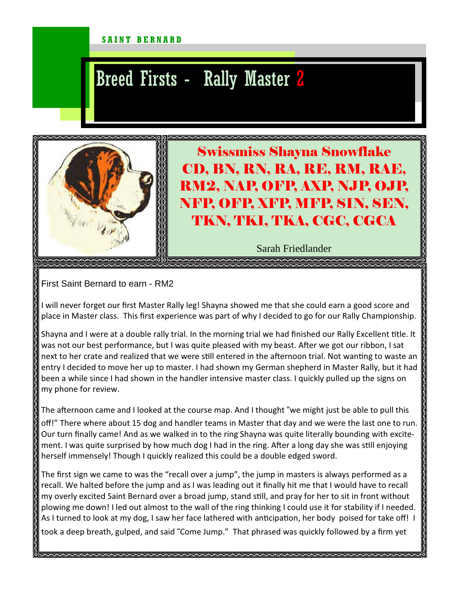## SAINT BERNARD

## Breed Firsts - Rally Master 2



Swissmiss Shayna Snowflake CD, BN, RN, RA, RE, RM, RAE, RM2, NAP, OFP, AXP, NJP, OJP, NFP, OFP, XFP, MFP, SIN, SEN, TKN, TKI, TKA, CGC, CGCA

Sarah Friedlander

First Saint Bernard to earn - RM2

I will never forget our first Master Rally leg! Shayna showed me that she could earn a good score and place in Master class. This first experience was part of why I decided to go for our Rally Championship.

Shayna and I were at a double rally trial. In the morning trial we had finished our Rally Excellent title. It was not our best performance, but I was quite pleased with my beast. After we got our ribbon, I sat next to her crate and realized that we were still entered in the afternoon trial. Not wanting to waste an entry I decided to move her up to master. I had shown my German shepherd in Master Rally, but it had been a while since I had shown in the handler intensive master class. I quickly pulled up the signs on my phone for review.

The afternoon came and I looked at the course map. And I thought "we might just be able to pull this off!" There where about 15 dog and handler teams in Master that day and we were the last one to run. Our turn finally came! And as we walked in to the ring Shayna was quite literally bounding with excitement. I was quite surprised by how much dog I had in the ring. After a long day she was still enjoying herself immensely! Though I quickly realized this could be a double edged sword.

The first sign we came to was the "recall over a jump", the jump in masters is always performed as a recall. We halted before the jump and as I was leading out it finally hit me that I would have to recall my overly excited Saint Bernard over a broad jump, stand still, and pray for her to sit in front without plowing me down! I led out almost to the wall of the ring thinking I could use it for stability if I needed. As I turned to look at my dog, I saw her face lathered with anticipation, her body poised for take off! I took a deep breath, gulped, and said "Come Jump." That phrased was quickly followed by a firm yet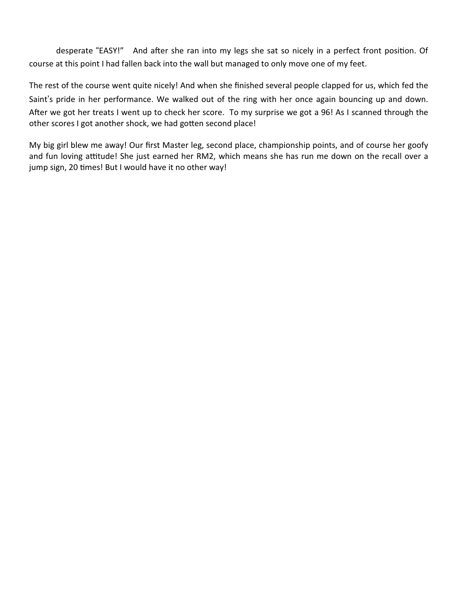desperate "EASY!" And after she ran into my legs she sat so nicely in a perfect front position. Of course at this point I had fallen back into the wall but managed to only move one of my feet.

The rest of the course went quite nicely! And when she finished several people clapped for us, which fed the Saint's pride in her performance. We walked out of the ring with her once again bouncing up and down. After we got her treats I went up to check her score. To my surprise we got a 96! As I scanned through the other scores I got another shock, we had gotten second place!

My big girl blew me away! Our first Master leg, second place, championship points, and of course her goofy and fun loving attitude! She just earned her RM2, which means she has run me down on the recall over a jump sign, 20 times! But I would have it no other way!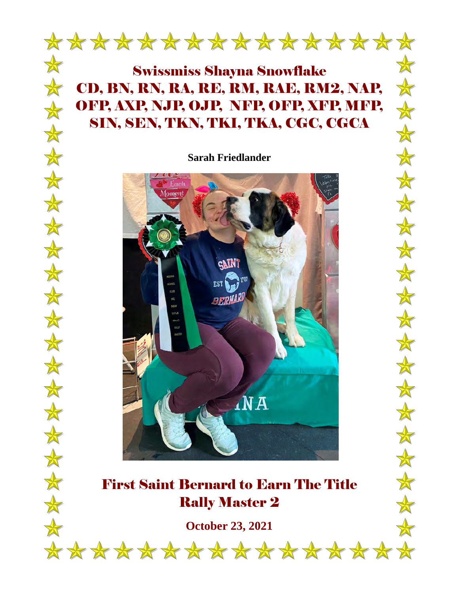

## Swissmiss Shayna Snowflake CD, BN, RN, RA, RE, RM, RAE, RM2, NAP, OFP, AXP, NJP, OJP, NFP, OFP, XFP, MFP, SIN, SEN, TKN, TKI, TKA, CGC, CGCA

 $\frac{1}{\sqrt{2}}$ 

 $\frac{1}{N}$ 

会

本

 $\frac{1}{N}$ 

 $\frac{1}{\sqrt{2}}$ 

 $\frac{1}{N}$ 

 $\frac{1}{\sqrt{2}}$ 

 $\frac{1}{N}$ 

 $\bigstar$ 

 $\frac{1}{N}$ 

 $\bigstar$ 

 $\frac{1}{N}$ 

 $\frac{1}{\sqrt{2}}$ 

 $\frac{1}{\sqrt{2}}$ 

 $\frac{1}{\sqrt{2}}$ 

 $\frac{1}{\sqrt{2}}$ 

 $\frac{1}{\sqrt{2}}$ 

 $\frac{1}{\sqrt{2}}$ 

 $\frac{1}{N}$ 

**Sarah Friedlander** 



## First Saint Bernard to Earn The Title Rally Master 2

**October 23, 2021**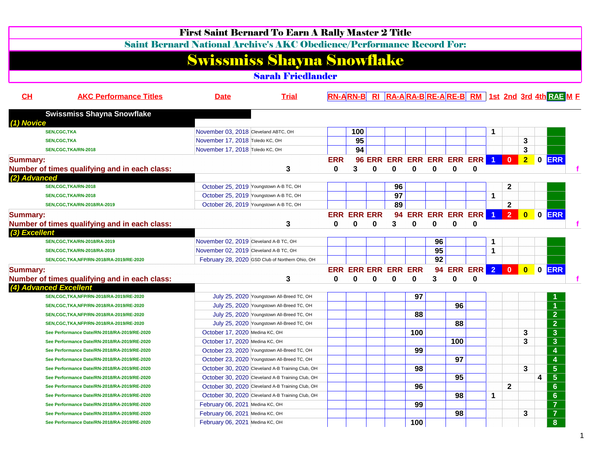|                                                 | <b>First Saint Bernard To Earn A Rally Master 2 Title</b>                     |                                           |            |                            |          |          |                                |    |     |                |                      |                |                         |             |                                                                |  |
|-------------------------------------------------|-------------------------------------------------------------------------------|-------------------------------------------|------------|----------------------------|----------|----------|--------------------------------|----|-----|----------------|----------------------|----------------|-------------------------|-------------|----------------------------------------------------------------|--|
|                                                 | <b>Saint Bernard National Archive's AKC Obedience/Performance Record For:</b> |                                           |            |                            |          |          |                                |    |     |                |                      |                |                         |             |                                                                |  |
|                                                 | <b>Swissmiss Shayna Snowflake</b>                                             |                                           |            |                            |          |          |                                |    |     |                |                      |                |                         |             |                                                                |  |
|                                                 |                                                                               | <b>Sarah Friedlander</b>                  |            |                            |          |          |                                |    |     |                |                      |                |                         |             |                                                                |  |
| CL<br><b>AKC Performance Titles</b>             | <b>Date</b>                                                                   | <b>Trial</b>                              |            |                            |          |          |                                |    |     |                |                      |                |                         |             | <b>RN-ARN-B RI RA-ARA-BRE-ARE-B RM 1st 2nd 3rd 4th RAF M F</b> |  |
| <b>Swissmiss Shayna Snowflake</b><br>(1) Novice |                                                                               |                                           |            |                            |          |          |                                |    |     |                |                      |                |                         |             |                                                                |  |
| <b>SEN,CGC,TKA</b>                              | November 03, 2018 Cleveland ABTC, OH                                          |                                           |            | 100                        |          |          |                                |    |     |                | 1                    |                |                         |             |                                                                |  |
| <b>SEN, CGC, TKA</b>                            | November 17, 2018 Toledo KC, OH                                               |                                           |            | 95                         |          |          |                                |    |     |                |                      |                | 3                       |             |                                                                |  |
| SEN, CGC, TKA/RN-2018                           | November 17, 2018 Toledo KC, OH                                               |                                           |            | 94                         |          |          |                                |    |     |                |                      |                | $\mathbf{3}$            |             |                                                                |  |
| <b>Summary:</b>                                 |                                                                               |                                           | <b>ERR</b> |                            |          |          | 96 ERR ERR ERR ERR ERR ERR 1 0 |    |     |                |                      |                | 2 <sub>1</sub>          | $\mathbf 0$ | <b>ERR</b>                                                     |  |
| Number of times qualifying and in each class:   |                                                                               | 3                                         | 0          | 3                          | $\bf{0}$ | 0        | 0                              | 0  | 0   | 0              |                      |                |                         |             |                                                                |  |
| (2) Advanced                                    |                                                                               |                                           |            |                            |          |          |                                |    |     |                |                      |                |                         |             |                                                                |  |
| SEN, CGC, TKA/RN-2018                           | October 25, 2019 Youngstown A-B TC, OH                                        |                                           |            |                            |          | 96       |                                |    |     |                |                      | $\mathbf{2}$   |                         |             |                                                                |  |
| SEN, CGC, TKA/RN-2018                           | October 25, 2019 Youngstown A-B TC, OH                                        |                                           |            |                            |          | 97       |                                |    |     |                | 1                    |                |                         |             |                                                                |  |
| SEN, CGC, TKA/RN-2018/RA-2019                   | October 26, 2019 Youngstown A-B TC, OH                                        |                                           |            |                            |          | 89       |                                |    |     |                |                      | $\mathbf{2}$   |                         |             |                                                                |  |
| <b>Summary:</b>                                 |                                                                               |                                           |            | <b>ERR ERR ERR</b>         |          |          | 94 ERR ERR ERR ERR             |    |     |                | $\blacktriangleleft$ | $\overline{2}$ | $\mathbf{0}$            |             | $0$ ERR                                                        |  |
| Number of times qualifying and in each class:   |                                                                               | 3                                         | $\bf{0}$   | 0                          | $\bf{0}$ | 3        | 0                              | 0  | 0   | 0              |                      |                |                         |             |                                                                |  |
| (3) Excellent                                   |                                                                               |                                           |            |                            |          |          |                                |    |     |                |                      |                |                         |             |                                                                |  |
| SEN, CGC, TKA/RN-2018/RA-2019                   | November 02, 2019 Cleveland A-B TC, OH                                        |                                           |            |                            |          |          |                                | 96 |     |                |                      |                |                         |             |                                                                |  |
| SEN, CGC, TKA/RN-2018/RA-2019                   | November 02, 2019 Cleveland A-B TC, OH                                        |                                           |            |                            |          |          |                                | 95 |     |                | 1                    |                |                         |             |                                                                |  |
| SEN, CGC, TKA, NFP/RN-2018/RA-2019/RE-2020      | February 28, 2020 GSD Club of Northern Ohio, OH                               |                                           |            |                            |          |          |                                | 92 |     |                |                      |                |                         |             |                                                                |  |
| <b>Summary:</b>                                 |                                                                               |                                           |            | <b>ERR ERR ERR ERR ERR</b> |          |          |                                |    |     | 94 ERR ERR 2 0 |                      |                | $\overline{\mathbf{0}}$ |             | 0 ERR                                                          |  |
| Number of times qualifying and in each class:   |                                                                               | 3                                         | 0          | $\bf{0}$                   | $\bf{0}$ | $\bf{0}$ | 0                              | 3  | 0   | $\bf{0}$       |                      |                |                         |             |                                                                |  |
| (4) Advanced Excellent                          |                                                                               |                                           |            |                            |          |          |                                |    |     |                |                      |                |                         |             |                                                                |  |
| SEN, CGC, TKA, NFP/RN-2018/RA-2019/RE-2020      |                                                                               | July 25, 2020 Youngstown All-Breed TC, OH |            |                            |          |          | 97                             |    |     |                |                      |                |                         |             |                                                                |  |
| SEN, CGC, TKA, NFP/RN-2018/RA-2019/RE-2020      | July 25, 2020 Youngstown All-Breed TC, OH                                     |                                           |            |                            |          |          |                                |    | 96  |                |                      |                |                         |             |                                                                |  |
| SEN, CGC, TKA, NFP/RN-2018/RA-2019/RE-2020      | July 25, 2020 Youngstown All-Breed TC, OH                                     |                                           |            |                            |          |          | 88                             |    |     |                |                      |                |                         |             | $\overline{2}$                                                 |  |
| SEN, CGC, TKA, NFP/RN-2018/RA-2019/RE-2020      |                                                                               | July 25, 2020 Youngstown All-Breed TC, OH |            |                            |          |          |                                |    | 88  |                |                      |                |                         |             | $\overline{2}$                                                 |  |
| See Performance Date/RN-2018/RA-2019/RE-2020    | October 17, 2020 Medina KC, OH                                                |                                           |            |                            |          |          | 100                            |    |     |                |                      |                | 3                       |             | $\mathbf{3}$                                                   |  |
| See Performance Date/RN-2018/RA-2019/RE-2020    | October 17, 2020 Medina KC, OH                                                |                                           |            |                            |          |          |                                |    | 100 |                |                      |                | 3                       |             | $\mathbf{3}$                                                   |  |
| See Performance Date/RN-2018/RA-2019/RE-2020    | October 23, 2020 Youngstown All-Breed TC, OH                                  |                                           |            |                            |          |          | 99                             |    |     |                |                      |                |                         |             | 4                                                              |  |
| See Performance Date/RN-2018/RA-2019/RE-2020    | October 23, 2020 Youngstown All-Breed TC, OH                                  |                                           |            |                            |          |          |                                |    | 97  |                |                      |                |                         |             |                                                                |  |
| See Performance Date/RN-2018/RA-2019/RE-2020    | October 30, 2020 Cleveland A-B Training Club, OH                              |                                           |            |                            |          |          | 98                             |    |     |                |                      |                | 3                       |             | 5 <sub>5</sub>                                                 |  |
| See Performance Date/RN-2018/RA-2019/RE-2020    | October 30, 2020 Cleveland A-B Training Club, OH                              |                                           |            |                            |          |          |                                |    | 95  |                |                      |                |                         | 4           | $\sqrt{5}$                                                     |  |
| See Performance Date/RN-2018/RA-2019/RE-2020    | October 30, 2020 Cleveland A-B Training Club, OH                              |                                           |            |                            |          |          | 96                             |    |     |                |                      | $\mathbf{2}$   |                         |             | $6\phantom{1}$                                                 |  |
| See Performance Date/RN-2018/RA-2019/RE-2020    | October 30, 2020 Cleveland A-B Training Club, OH                              |                                           |            |                            |          |          |                                |    | 98  |                | 1                    |                |                         |             | $6\phantom{1}6$                                                |  |
| See Performance Date/RN-2018/RA-2019/RE-2020    | February 06, 2021 Medina KC, OH                                               |                                           |            |                            |          |          | 99                             |    |     |                |                      |                |                         |             | $\overline{7}$                                                 |  |
| See Performance Date/RN-2018/RA-2019/RE-2020    | February 06, 2021 Medina KC, OH                                               |                                           |            |                            |          |          |                                |    | 98  |                |                      |                | 3                       |             | $\overline{7}$                                                 |  |
| See Performance Date/RN-2018/RA-2019/RE-2020    | February 06, 2021 Medina KC, OH                                               |                                           |            |                            |          |          | 100                            |    |     |                |                      |                |                         |             | 8 <sup>°</sup>                                                 |  |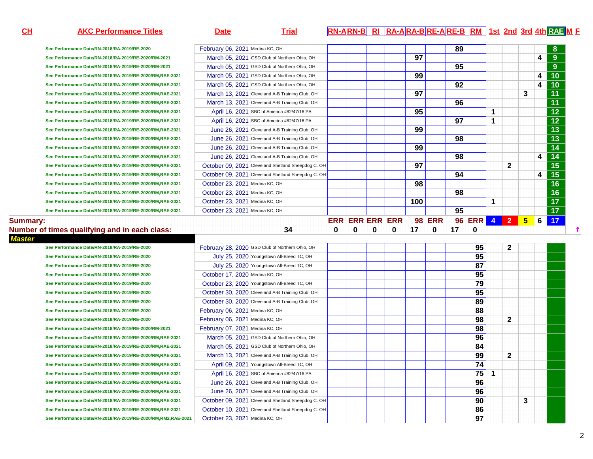| CH            | <b>AKC Performance Titles</b>                                                                                            | <b>Date</b>                     | <b>Trial</b>                                       |             |   |   |   |     |   |    |          |              |              |   |   | RN-ARN-B RI RA-ARA-BRE-ARE-B RM 1st 2nd 3rd 4th RAE M E |
|---------------|--------------------------------------------------------------------------------------------------------------------------|---------------------------------|----------------------------------------------------|-------------|---|---|---|-----|---|----|----------|--------------|--------------|---|---|---------------------------------------------------------|
|               | See Performance Date/RN-2018/RA-2019/RE-2020                                                                             | February 06, 2021 Medina KC, OH |                                                    |             |   |   |   |     |   | 89 |          |              |              |   |   |                                                         |
|               | See Performance Date/RN-2018/RA-2019/RE-2020/RM-2021                                                                     |                                 | March 05, 2021 GSD Club of Northern Ohio, OH       |             |   |   |   | 97  |   |    |          |              |              |   | 4 | 9                                                       |
|               | See Performance Date/RN-2018/RA-2019/RE-2020/RM-2021                                                                     |                                 | March 05, 2021 GSD Club of Northern Ohio, OH       |             |   |   |   |     |   | 95 |          |              |              |   |   | 9                                                       |
|               | See Performance Date/RN-2018/RA-2019/RE-2020/RM,RAE-2021                                                                 |                                 | March 05, 2021 GSD Club of Northern Ohio, OH       |             |   |   |   | 99  |   |    |          |              |              |   | 4 | 10                                                      |
|               | See Performance Date/RN-2018/RA-2019/RE-2020/RM,RAE-2021                                                                 |                                 | March 05, 2021 GSD Club of Northern Ohio, OH       |             |   |   |   |     |   | 92 |          |              |              |   | 4 | 10                                                      |
|               | See Performance Date/RN-2018/RA-2019/RE-2020/RM,RAE-2021                                                                 |                                 | March 13, 2021 Cleveland A-B Training Club, OH     |             |   |   |   | 97  |   |    |          |              |              | 3 |   | $\overline{11}$                                         |
|               | See Performance Date/RN-2018/RA-2019/RE-2020/RM,RAE-2021                                                                 |                                 | March 13, 2021 Cleveland A-B Training Club, OH     |             |   |   |   |     |   | 96 |          |              |              |   |   | 11                                                      |
|               | See Performance Date/RN-2018/RA-2019/RE-2020/RM,RAE-2021                                                                 |                                 | April 16, 2021 SBC of America #82/47/16 PA         |             |   |   |   | 95  |   |    |          | 1            |              |   |   | $\overline{12}$                                         |
|               | See Performance Date/RN-2018/RA-2019/RE-2020/RM,RAE-2021                                                                 |                                 | April 16, 2021 SBC of America #82/47/16 PA         |             |   |   |   |     |   | 97 |          | 1            |              |   |   | $\overline{12}$                                         |
|               | See Performance Date/RN-2018/RA-2019/RE-2020/RM,RAE-2021                                                                 |                                 | June 26, 2021 Cleveland A-B Training Club, OH      |             |   |   |   | 99  |   |    |          |              |              |   |   | $\overline{13}$                                         |
|               | See Performance Date/RN-2018/RA-2019/RE-2020/RM,RAE-2021                                                                 |                                 | June 26, 2021 Cleveland A-B Training Club, OH      |             |   |   |   |     |   | 98 |          |              |              |   |   | $\overline{13}$                                         |
|               | See Performance Date/RN-2018/RA-2019/RE-2020/RM,RAE-2021                                                                 |                                 | June 26, 2021 Cleveland A-B Training Club, OH      |             |   |   |   | 99  |   |    |          |              |              |   |   | 14                                                      |
|               | See Performance Date/RN-2018/RA-2019/RE-2020/RM,RAE-2021                                                                 |                                 | June 26, 2021 Cleveland A-B Training Club, OH      |             |   |   |   |     |   | 98 |          |              |              |   | 4 | 14                                                      |
|               | See Performance Date/RN-2018/RA-2019/RE-2020/RM,RAE-2021                                                                 |                                 | October 09, 2021 Cleveland Shetland Sheepdog C. OH |             |   |   |   | 97  |   |    |          |              | $\mathbf{2}$ |   |   | $\overline{15}$                                         |
|               | See Performance Date/RN-2018/RA-2019/RE-2020/RM,RAE-2021                                                                 |                                 | October 09, 2021 Cleveland Shetland Sheepdog C. OH |             |   |   |   |     |   | 94 |          |              |              |   | 4 | $\overline{15}$                                         |
|               | See Performance Date/RN-2018/RA-2019/RE-2020/RM,RAE-2021                                                                 | October 23, 2021 Medina KC, OH  |                                                    |             |   |   |   | 98  |   |    |          |              |              |   |   | $\overline{16}$                                         |
|               | See Performance Date/RN-2018/RA-2019/RE-2020/RM,RAE-2021                                                                 | October 23, 2021 Medina KC, OH  |                                                    |             |   |   |   |     |   | 98 |          |              |              |   |   | $\overline{16}$                                         |
|               | See Performance Date/RN-2018/RA-2019/RE-2020/RM,RAE-2021                                                                 | October 23, 2021 Medina KC, OH  |                                                    |             |   |   |   | 100 |   |    |          | 1            |              |   |   | $\overline{17}$                                         |
|               | See Performance Date/RN-2018/RA-2019/RE-2020/RM,RAE-2021                                                                 | October 23, 2021 Medina KC, OH  |                                                    |             |   |   |   |     |   | 95 |          |              |              |   |   | $\overline{17}$                                         |
| <b>Master</b> | Number of times qualifying and in each class:                                                                            |                                 | 34                                                 | $\mathbf 0$ | 0 | 0 | 0 | 17  | 0 | 17 | 0        |              |              |   |   |                                                         |
|               | See Performance Date/RN-2018/RA-2019/RE-2020                                                                             |                                 | February 28, 2020 GSD Club of Northern Ohio, OH    |             |   |   |   |     |   |    | 95       |              | $\mathbf{2}$ |   |   |                                                         |
|               | See Performance Date/RN-2018/RA-2019/RE-2020                                                                             |                                 | July 25, 2020 Youngstown All-Breed TC, OH          |             |   |   |   |     |   |    | 95       |              |              |   |   |                                                         |
|               | See Performance Date/RN-2018/RA-2019/RE-2020                                                                             |                                 | July 25, 2020 Youngstown All-Breed TC, OH          |             |   |   |   |     |   |    | 87       |              |              |   |   |                                                         |
|               | See Performance Date/RN-2018/RA-2019/RE-2020                                                                             | October 17, 2020 Medina KC, OH  |                                                    |             |   |   |   |     |   |    | 95       |              |              |   |   |                                                         |
|               | See Performance Date/RN-2018/RA-2019/RE-2020                                                                             |                                 | October 23, 2020 Youngstown All-Breed TC, OH       |             |   |   |   |     |   |    | 79       |              |              |   |   |                                                         |
|               | See Performance Date/RN-2018/RA-2019/RE-2020                                                                             |                                 | October 30, 2020 Cleveland A-B Training Club, OH   |             |   |   |   |     |   |    | 95       |              |              |   |   |                                                         |
|               | See Performance Date/RN-2018/RA-2019/RE-2020                                                                             |                                 |                                                    |             |   |   |   |     |   |    |          |              |              |   |   |                                                         |
|               |                                                                                                                          |                                 | October 30, 2020 Cleveland A-B Training Club, OH   |             |   |   |   |     |   |    | 89       |              |              |   |   |                                                         |
|               | See Performance Date/RN-2018/RA-2019/RE-2020                                                                             | February 06, 2021 Medina KC, OH |                                                    |             |   |   |   |     |   |    | 88       |              |              |   |   |                                                         |
|               | See Performance Date/RN-2018/RA-2019/RE-2020                                                                             | February 06, 2021 Medina KC, OH |                                                    |             |   |   |   |     |   |    | 98       |              | $\mathbf{2}$ |   |   |                                                         |
|               | See Performance Date/RN-2018/RA-2019/RE-2020/RM-2021                                                                     | February 07, 2021 Medina KC, OH |                                                    |             |   |   |   |     |   |    | 98       |              |              |   |   |                                                         |
|               | See Performance Date/RN-2018/RA-2019/RE-2020/RM,RAE-2021                                                                 |                                 | March 05, 2021 GSD Club of Northern Ohio, OH       |             |   |   |   |     |   |    | 96       |              |              |   |   |                                                         |
|               | See Performance Date/RN-2018/RA-2019/RE-2020/RM,RAE-2021                                                                 |                                 | March 05, 2021 GSD Club of Northern Ohio, OH       |             |   |   |   |     |   |    | 84       |              |              |   |   |                                                         |
|               | See Performance Date/RN-2018/RA-2019/RE-2020/RM,RAE-2021                                                                 |                                 | March 13, 2021 Cleveland A-B Training Club, OH     |             |   |   |   |     |   |    | 99       |              | $\mathbf{2}$ |   |   |                                                         |
|               | See Performance Date/RN-2018/RA-2019/RE-2020/RM,RAE-2021                                                                 |                                 | April 09, 2021 Youngstown All-Breed TC, OH         |             |   |   |   |     |   |    | 74       |              |              |   |   |                                                         |
|               | See Performance Date/RN-2018/RA-2019/RE-2020/RM,RAE-2021                                                                 |                                 | April 16, 2021 SBC of America #82/47/16 PA         |             |   |   |   |     |   |    | 75       | $\mathbf{1}$ |              |   |   |                                                         |
|               | See Performance Date/RN-2018/RA-2019/RE-2020/RM,RAE-2021                                                                 |                                 | June 26, 2021 Cleveland A-B Training Club, OH      |             |   |   |   |     |   |    | 96       |              |              |   |   |                                                         |
|               | See Performance Date/RN-2018/RA-2019/RE-2020/RM,RAE-2021                                                                 |                                 | June 26, 2021 Cleveland A-B Training Club, OH      |             |   |   |   |     |   |    | 96       |              |              |   |   |                                                         |
|               | See Performance Date/RN-2018/RA-2019/RE-2020/RM,RAE-2021                                                                 |                                 | October 09, 2021 Cleveland Shetland Sheepdog C. OH |             |   |   |   |     |   |    | 90       |              |              | 3 |   |                                                         |
|               | See Performance Date/RN-2018/RA-2019/RE-2020/RM,RAE-2021<br>See Performance Date/RN-2018/RA-2019/RE-2020/RM,RM2,RAE-2021 | October 23, 2021 Medina KC, OH  | October 10, 2021 Cleveland Shetland Sheepdog C. OH |             |   |   |   |     |   |    | 86<br>97 |              |              |   |   |                                                         |